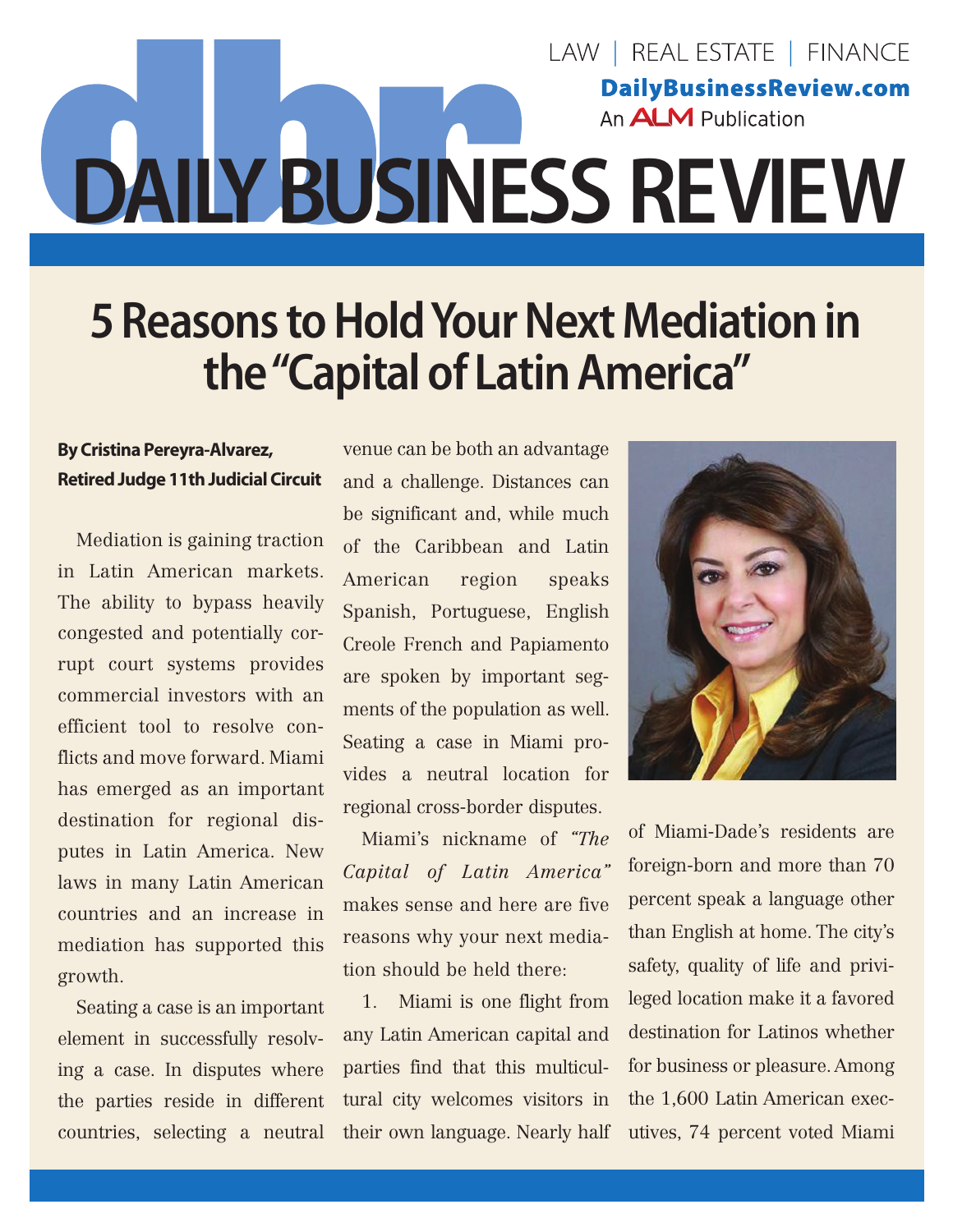## LAW | REAL ESTATE | FINANCE **DailyBusinessReview.com** An **ALM** Publication **DAILY BUSINESS REVIEW**

## **5 Reasons to Hold Your Next Mediation in the "Capital of Latin America"**

## **By Cristina Pereyra-Alvarez, Retired Judge 11th Judicial Circuit**

Mediation is gaining traction in Latin American markets. The ability to bypass heavily congested and potentially corrupt court systems provides commercial investors with an efficient tool to resolve conflicts and move forward. Miami has emerged as an important destination for regional disputes in Latin America. New laws in many Latin American countries and an increase in mediation has supported this growth.

Seating a case is an important element in successfully resolving a case. In disputes where the parties reside in different countries, selecting a neutral

venue can be both an advantage and a challenge. Distances can be significant and, while much of the Caribbean and Latin American region speaks Spanish, Portuguese, English Creole French and Papiamento are spoken by important segments of the population as well. Seating a case in Miami provides a neutral location for [regional cross-border](http://www.jamsadr.com/global/) disputes.

Miami's nickname of *"The Capital of Latin America"*  makes sense and here are five reasons why your next mediation should be held there:

1. Miami is one flight from any Latin American capital and parties find that this multicultural city welcomes visitors in their own language. Nearly [half](https://www.census.gov/quickfacts/fact/table/miamidadecountyflorida/POP645215#viewtop) 



of Miami-Dade's residents are foreign-born and more than 70 percent speak a language other than English at home. The city's safety, quality of life and privileged location make it a favored destination for Latinos whether for business or pleasure. Among the 1,600 Latin American executives, 74 percent voted Miami